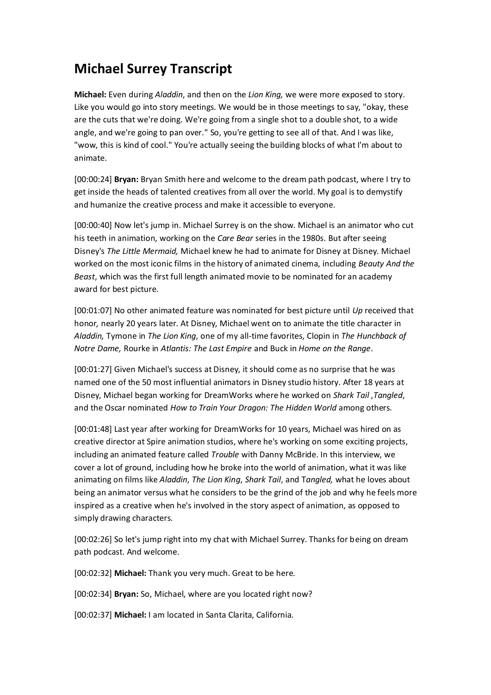# **Michael Surrey Transcript**

**Michael:** Even during *Aladdin*, and then on the *Lion King,* we were more exposed to story. Like you would go into story meetings. We would be in those meetings to say, "okay, these are the cuts that we're doing. We're going from a single shot to a double shot, to a wide angle, and we're going to pan over." So, you're getting to see all of that. And I was like, "wow, this is kind of cool." You're actually seeing the building blocks of what I'm about to animate.

[00:00:24] **Bryan:** Bryan Smith here and welcome to the dream path podcast, where I try to get inside the heads of talented creatives from all over the world. My goal is to demystify and humanize the creative process and make it accessible to everyone.

[00:00:40] Now let's jump in. Michael Surrey is on the show. Michael is an animator who cut his teeth in animation, working on the *Care Bear* series in the 1980s. But after seeing Disney's *The Little Mermaid,* Michael knew he had to animate for Disney at Disney. Michael worked on the most iconic films in the history of animated cinema, including *Beauty And the Beast*, which was the first full length animated movie to be nominated for an academy award for best picture.

[00:01:07] No other animated feature was nominated for best picture until *Up* received that honor*,* nearly 20 years later. At Disney, Michael went on to animate the title character in *Aladdin,* Tymone in *The Lion King*, one of my all-time favorites, Clopin in *The Hunchback of Notre Dame,* Rourke in *Atlantis: The Last Empire* and Buck in *Home on the Range*.

[00:01:27] Given Michael's success at Disney, it should come as no surprise that he was named one of the 50 most influential animators in Disney studio history. After 18 years at Disney, Michael began working for DreamWorks where he worked on *Shark Tail* ,*Tangled*, and the Oscar nominated *How to Train Your Dragon: The Hidden World* among others.

[00:01:48] Last year after working for DreamWorks for 10 years, Michael was hired on as creative director at Spire animation studios, where he's working on some exciting projects, including an animated feature called *Trouble* with Danny McBride. In this interview, we cover a lot of ground, including how he broke into the world of animation, what it was like animating on films like *Aladdin*, *The Lion King*, *Shark Tail*, and T*angled,* what he loves about being an animator versus what he considers to be the grind of the job and why he feels more inspired as a creative when he's involved in the story aspect of animation, as opposed to simply drawing characters.

[00:02:26] So let's jump right into my chat with Michael Surrey. Thanks for being on dream path podcast. And welcome.

[00:02:32] **Michael:** Thank you very much. Great to be here.

[00:02:34] **Bryan:** So, Michael, where are you located right now?

[00:02:37] **Michael:** I am located in Santa Clarita, California.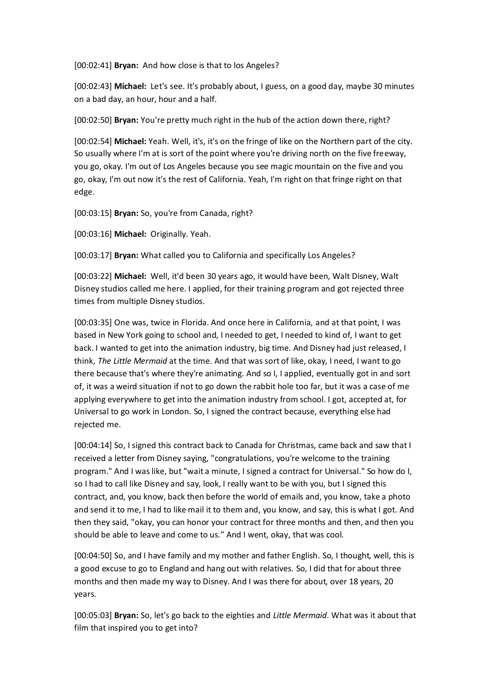[00:02:41] **Bryan:** And how close is that to los Angeles?

[00:02:43] **Michael:** Let's see. It's probably about, I guess, on a good day, maybe 30 minutes on a bad day, an hour, hour and a half.

[00:02:50] **Bryan:** You're pretty much right in the hub of the action down there, right?

[00:02:54] **Michael:** Yeah. Well, it's, it's on the fringe of like on the Northern part of the city. So usually where I'm at is sort of the point where you're driving north on the five freeway, you go, okay. I'm out of Los Angeles because you see magic mountain on the five and you go, okay, I'm out now it's the rest of California. Yeah, I'm right on that fringe right on that edge.

[00:03:15] **Bryan:** So, you're from Canada, right?

[00:03:16] **Michael:** Originally. Yeah.

[00:03:17] **Bryan:** What called you to California and specifically Los Angeles?

[00:03:22] **Michael:** Well, it'd been 30 years ago, it would have been, Walt Disney, Walt Disney studios called me here. I applied, for their training program and got rejected three times from multiple Disney studios.

[00:03:35] One was, twice in Florida. And once here in California, and at that point, I was based in New York going to school and, I needed to get, I needed to kind of, I want to get back. I wanted to get into the animation industry, big time. And Disney had just released, I think, *The Little Mermaid* at the time. And that was sort of like, okay, I need, I want to go there because that's where they're animating. And so I, I applied, eventually got in and sort of, it was a weird situation if not to go down the rabbit hole too far, but it was a case of me applying everywhere to get into the animation industry from school. I got, accepted at, for Universal to go work in London. So, I signed the contract because, everything else had rejected me.

[00:04:14] So, I signed this contract back to Canada for Christmas, came back and saw that I received a letter from Disney saying, "congratulations, you're welcome to the training program." And I was like, but "wait a minute, I signed a contract for Universal." So how do I, so I had to call like Disney and say, look, I really want to be with you, but I signed this contract, and, you know, back then before the world of emails and, you know, take a photo and send it to me, I had to like mail it to them and, you know, and say, this is what I got. And then they said, "okay, you can honor your contract for three months and then, and then you should be able to leave and come to us." And I went, okay, that was cool.

[00:04:50] So, and I have family and my mother and father English. So, I thought, well, this is a good excuse to go to England and hang out with relatives. So, I did that for about three months and then made my way to Disney. And I was there for about, over 18 years, 20 years.

[00:05:03] **Bryan:** So, let's go back to the eighties and *Little Mermaid*. What was it about that film that inspired you to get into?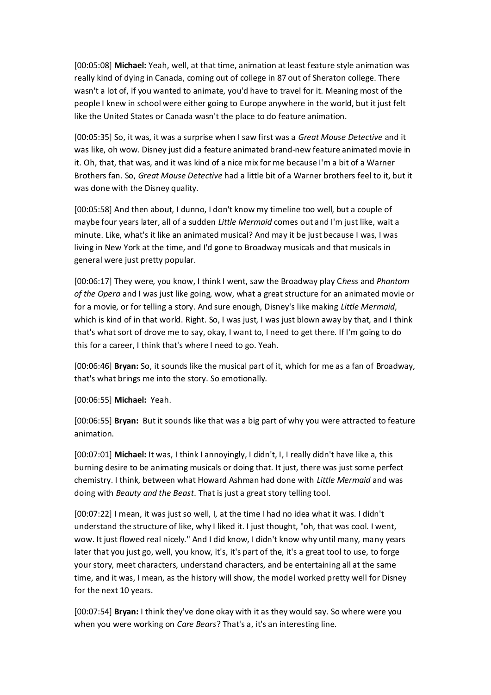[00:05:08] **Michael:** Yeah, well, at that time, animation at least feature style animation was really kind of dying in Canada, coming out of college in 87 out of Sheraton college. There wasn't a lot of, if you wanted to animate, you'd have to travel for it. Meaning most of the people I knew in school were either going to Europe anywhere in the world, but it just felt like the United States or Canada wasn't the place to do feature animation.

[00:05:35] So, it was, it was a surprise when I saw first was a *Great Mouse Detective* and it was like, oh wow. Disney just did a feature animated brand-new feature animated movie in it. Oh, that, that was, and it was kind of a nice mix for me because I'm a bit of a Warner Brothers fan. So, *Great Mouse Detective* had a little bit of a Warner brothers feel to it, but it was done with the Disney quality.

[00:05:58] And then about, I dunno, I don't know my timeline too well, but a couple of maybe four years later, all of a sudden *Little Mermaid* comes out and I'm just like, wait a minute. Like, what's it like an animated musical? And may it be just because I was, I was living in New York at the time, and I'd gone to Broadway musicals and that musicals in general were just pretty popular.

[00:06:17] They were, you know, I think I went, saw the Broadway play C*hess* and *Phantom of the Opera* and I was just like going, wow, what a great structure for an animated movie or for a movie, or for telling a story. And sure enough, Disney's like making *Little Mermaid*, which is kind of in that world. Right. So, I was just, I was just blown away by that, and I think that's what sort of drove me to say, okay, I want to, I need to get there. If I'm going to do this for a career, I think that's where I need to go. Yeah.

[00:06:46] **Bryan:** So, it sounds like the musical part of it, which for me as a fan of Broadway, that's what brings me into the story. So emotionally.

[00:06:55] **Michael:** Yeah.

[00:06:55] **Bryan:** But it sounds like that was a big part of why you were attracted to feature animation.

[00:07:01] **Michael:** It was, I think I annoyingly, I didn't, I, I really didn't have like a, this burning desire to be animating musicals or doing that. It just, there was just some perfect chemistry. I think, between what Howard Ashman had done with *Little Mermaid* and was doing with *Beauty and the Beast*. That is just a great story telling tool.

[00:07:22] I mean, it was just so well, I, at the time I had no idea what it was. I didn't understand the structure of like, why I liked it. I just thought, "oh, that was cool. I went, wow. It just flowed real nicely." And I did know, I didn't know why until many, many years later that you just go, well, you know, it's, it's part of the, it's a great tool to use, to forge your story, meet characters, understand characters, and be entertaining all at the same time, and it was, I mean, as the history will show, the model worked pretty well for Disney for the next 10 years.

[00:07:54] **Bryan:** I think they've done okay with it as they would say. So where were you when you were working on *Care Bears*? That's a, it's an interesting line.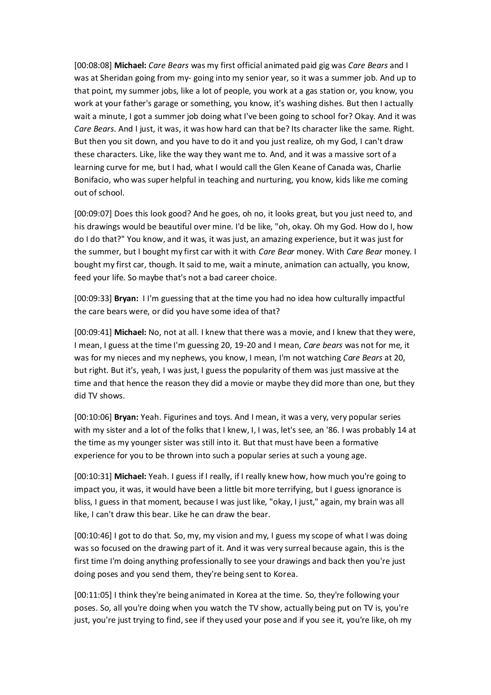[00:08:08] **Michael:** *Care Bears* was my first official animated paid gig was *Care Bears* and I was at Sheridan going from my- going into my senior year, so it was a summer job. And up to that point, my summer jobs, like a lot of people, you work at a gas station or, you know, you work at your father's garage or something, you know, it's washing dishes. But then I actually wait a minute, I got a summer job doing what I've been going to school for? Okay. And it was *Care Bears*. And I just, it was, it was how hard can that be? Its character like the same. Right. But then you sit down, and you have to do it and you just realize, oh my God, I can't draw these characters. Like, like the way they want me to. And, and it was a massive sort of a learning curve for me, but I had, what I would call the Glen Keane of Canada was, Charlie Bonifacio, who was super helpful in teaching and nurturing, you know, kids like me coming out of school.

[00:09:07] Does this look good? And he goes, oh no, it looks great, but you just need to, and his drawings would be beautiful over mine. I'd be like, "oh, okay. Oh my God. How do I, how do I do that?" You know, and it was, it was just, an amazing experience, but it was just for the summer, but I bought my first car with it with *Care Bear* money. With *Care Bear* money. I bought my first car, though. It said to me, wait a minute, animation can actually, you know, feed your life. So maybe that's not a bad career choice.

[00:09:33] **Bryan:** I I'm guessing that at the time you had no idea how culturally impactful the care bears were, or did you have some idea of that?

[00:09:41] **Michael:** No, not at all. I knew that there was a movie, and I knew that they were, I mean, I guess at the time I'm guessing 20, 19-20 and I mean, *Care bears* was not for me, it was for my nieces and my nephews, you know, I mean, I'm not watching *Care Bears* at 20, but right. But it's, yeah, I was just, I guess the popularity of them was just massive at the time and that hence the reason they did a movie or maybe they did more than one, but they did TV shows.

[00:10:06] **Bryan:** Yeah. Figurines and toys. And I mean, it was a very, very popular series with my sister and a lot of the folks that I knew, I, I was, let's see, an '86. I was probably 14 at the time as my younger sister was still into it. But that must have been a formative experience for you to be thrown into such a popular series at such a young age.

[00:10:31] **Michael:** Yeah. I guess if I really, if I really knew how, how much you're going to impact you, it was, it would have been a little bit more terrifying, but I guess ignorance is bliss, I guess in that moment, because I was just like, "okay, I just," again, my brain was all like, I can't draw this bear. Like he can draw the bear.

[00:10:46] I got to do that. So, my, my vision and my, I guess my scope of what I was doing was so focused on the drawing part of it. And it was very surreal because again, this is the first time I'm doing anything professionally to see your drawings and back then you're just doing poses and you send them, they're being sent to Korea.

[00:11:05] I think they're being animated in Korea at the time. So, they're following your poses. So, all you're doing when you watch the TV show, actually being put on TV is, you're just, you're just trying to find, see if they used your pose and if you see it, you're like, oh my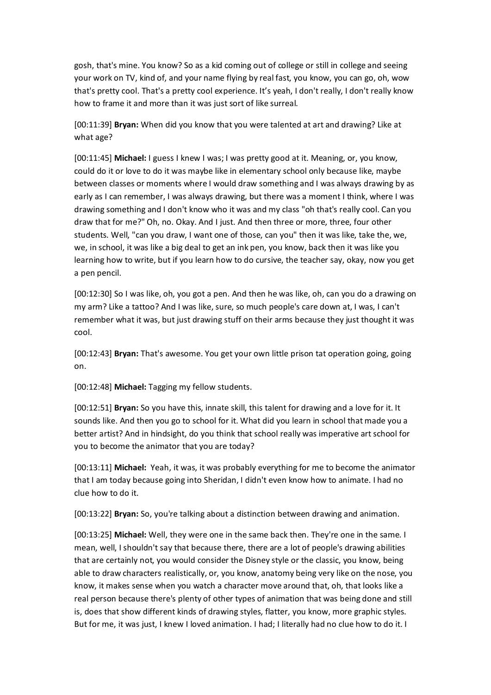gosh, that's mine. You know? So as a kid coming out of college or still in college and seeing your work on TV, kind of, and your name flying by real fast, you know, you can go, oh, wow that's pretty cool. That's a pretty cool experience. It's yeah, I don't really, I don't really know how to frame it and more than it was just sort of like surreal.

[00:11:39] **Bryan:** When did you know that you were talented at art and drawing? Like at what age?

[00:11:45] **Michael:** I guess I knew I was; I was pretty good at it. Meaning, or, you know, could do it or love to do it was maybe like in elementary school only because like, maybe between classes or moments where I would draw something and I was always drawing by as early as I can remember, I was always drawing, but there was a moment I think, where I was drawing something and I don't know who it was and my class "oh that's really cool. Can you draw that for me?" Oh, no. Okay. And I just. And then three or more, three, four other students. Well, "can you draw, I want one of those, can you" then it was like, take the, we, we, in school, it was like a big deal to get an ink pen, you know, back then it was like you learning how to write, but if you learn how to do cursive, the teacher say, okay, now you get a pen pencil.

[00:12:30] So I was like, oh, you got a pen. And then he was like, oh, can you do a drawing on my arm? Like a tattoo? And I was like, sure, so much people's care down at, I was, I can't remember what it was, but just drawing stuff on their arms because they just thought it was cool.

[00:12:43] **Bryan:** That's awesome. You get your own little prison tat operation going, going on.

[00:12:48] **Michael:** Tagging my fellow students.

[00:12:51] **Bryan:** So you have this, innate skill, this talent for drawing and a love for it. It sounds like. And then you go to school for it. What did you learn in school that made you a better artist? And in hindsight, do you think that school really was imperative art school for you to become the animator that you are today?

[00:13:11] **Michael:** Yeah, it was, it was probably everything for me to become the animator that I am today because going into Sheridan, I didn't even know how to animate. I had no clue how to do it.

[00:13:22] **Bryan:** So, you're talking about a distinction between drawing and animation.

[00:13:25] **Michael:** Well, they were one in the same back then. They're one in the same. I mean, well, I shouldn't say that because there, there are a lot of people's drawing abilities that are certainly not, you would consider the Disney style or the classic, you know, being able to draw characters realistically, or, you know, anatomy being very like on the nose, you know, it makes sense when you watch a character move around that, oh, that looks like a real person because there's plenty of other types of animation that was being done and still is, does that show different kinds of drawing styles, flatter, you know, more graphic styles. But for me, it was just, I knew I loved animation. I had; I literally had no clue how to do it. I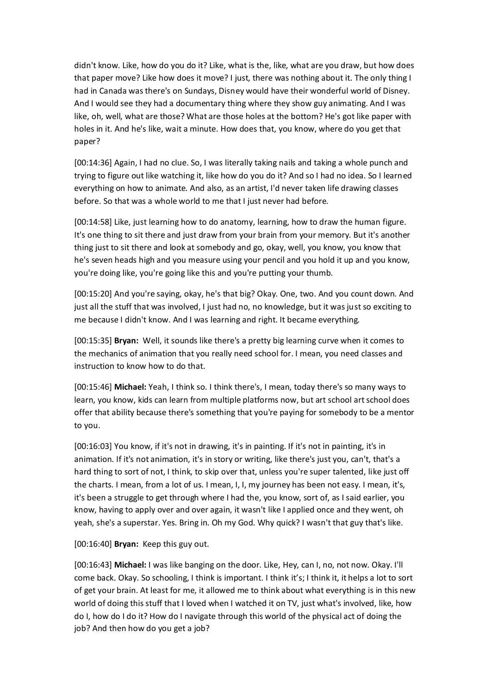didn't know. Like, how do you do it? Like, what is the, like, what are you draw, but how does that paper move? Like how does it move? I just, there was nothing about it. The only thing I had in Canada was there's on Sundays, Disney would have their wonderful world of Disney. And I would see they had a documentary thing where they show guy animating. And I was like, oh, well, what are those? What are those holes at the bottom? He's got like paper with holes in it. And he's like, wait a minute. How does that, you know, where do you get that paper?

[00:14:36] Again, I had no clue. So, I was literally taking nails and taking a whole punch and trying to figure out like watching it, like how do you do it? And so I had no idea. So I learned everything on how to animate. And also, as an artist, I'd never taken life drawing classes before. So that was a whole world to me that I just never had before.

[00:14:58] Like, just learning how to do anatomy, learning, how to draw the human figure. It's one thing to sit there and just draw from your brain from your memory. But it's another thing just to sit there and look at somebody and go, okay, well, you know, you know that he's seven heads high and you measure using your pencil and you hold it up and you know, you're doing like, you're going like this and you're putting your thumb.

[00:15:20] And you're saying, okay, he's that big? Okay. One, two. And you count down. And just all the stuff that was involved, I just had no, no knowledge, but it was just so exciting to me because I didn't know. And I was learning and right. It became everything.

[00:15:35] **Bryan:** Well, it sounds like there's a pretty big learning curve when it comes to the mechanics of animation that you really need school for. I mean, you need classes and instruction to know how to do that.

[00:15:46] **Michael:** Yeah, I think so. I think there's, I mean, today there's so many ways to learn, you know, kids can learn from multiple platforms now, but art school art school does offer that ability because there's something that you're paying for somebody to be a mentor to you.

[00:16:03] You know, if it's not in drawing, it's in painting. If it's not in painting, it's in animation. If it's not animation, it's in story or writing, like there's just you, can't, that's a hard thing to sort of not, I think, to skip over that, unless you're super talented, like just off the charts. I mean, from a lot of us. I mean, I, I, my journey has been not easy. I mean, it's, it's been a struggle to get through where I had the, you know, sort of, as I said earlier, you know, having to apply over and over again, it wasn't like I applied once and they went, oh yeah, she's a superstar. Yes. Bring in. Oh my God. Why quick? I wasn't that guy that's like.

[00:16:40] **Bryan:** Keep this guy out.

[00:16:43] **Michael:** I was like banging on the door. Like, Hey, can I, no, not now. Okay. I'll come back. Okay. So schooling, I think is important. I think it's; I think it, it helps a lot to sort of get your brain. At least for me, it allowed me to think about what everything is in this new world of doing this stuff that I loved when I watched it on TV, just what's involved, like, how do I, how do I do it? How do I navigate through this world of the physical act of doing the job? And then how do you get a job?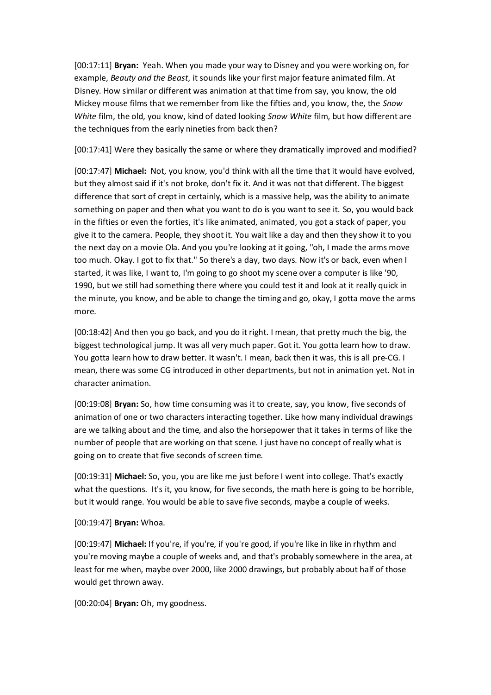[00:17:11] **Bryan:** Yeah. When you made your way to Disney and you were working on, for example, *Beauty and the Beast*, it sounds like your first major feature animated film. At Disney. How similar or different was animation at that time from say, you know, the old Mickey mouse films that we remember from like the fifties and, you know, the, the *Snow White* film, the old, you know, kind of dated looking *Snow White* film, but how different are the techniques from the early nineties from back then?

[00:17:41] Were they basically the same or where they dramatically improved and modified?

[00:17:47] **Michael:** Not, you know, you'd think with all the time that it would have evolved, but they almost said if it's not broke, don't fix it. And it was not that different. The biggest difference that sort of crept in certainly, which is a massive help, was the ability to animate something on paper and then what you want to do is you want to see it. So, you would back in the fifties or even the forties, it's like animated, animated, you got a stack of paper, you give it to the camera. People, they shoot it. You wait like a day and then they show it to you the next day on a movie Ola. And you you're looking at it going, "oh, I made the arms move too much. Okay. I got to fix that." So there's a day, two days. Now it's or back, even when I started, it was like, I want to, I'm going to go shoot my scene over a computer is like '90, 1990, but we still had something there where you could test it and look at it really quick in the minute, you know, and be able to change the timing and go, okay, I gotta move the arms more.

[00:18:42] And then you go back, and you do it right. I mean, that pretty much the big, the biggest technological jump. It was all very much paper. Got it. You gotta learn how to draw. You gotta learn how to draw better. It wasn't. I mean, back then it was, this is all pre-CG. I mean, there was some CG introduced in other departments, but not in animation yet. Not in character animation.

[00:19:08] **Bryan:** So, how time consuming was it to create, say, you know, five seconds of animation of one or two characters interacting together. Like how many individual drawings are we talking about and the time, and also the horsepower that it takes in terms of like the number of people that are working on that scene. I just have no concept of really what is going on to create that five seconds of screen time.

[00:19:31] **Michael:** So, you, you are like me just before I went into college. That's exactly what the questions. It's it, you know, for five seconds, the math here is going to be horrible, but it would range. You would be able to save five seconds, maybe a couple of weeks.

## [00:19:47] **Bryan:** Whoa.

[00:19:47] **Michael:** If you're, if you're, if you're good, if you're like in like in rhythm and you're moving maybe a couple of weeks and, and that's probably somewhere in the area, at least for me when, maybe over 2000, like 2000 drawings, but probably about half of those would get thrown away.

[00:20:04] **Bryan:** Oh, my goodness.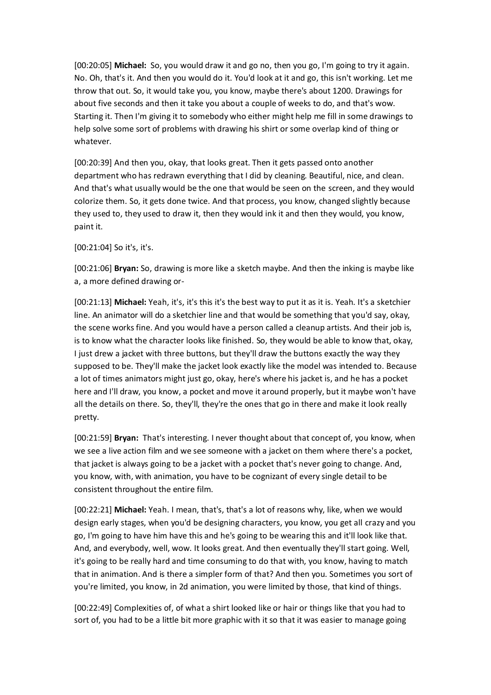[00:20:05] **Michael:** So, you would draw it and go no, then you go, I'm going to try it again. No. Oh, that's it. And then you would do it. You'd look at it and go, this isn't working. Let me throw that out. So, it would take you, you know, maybe there's about 1200. Drawings for about five seconds and then it take you about a couple of weeks to do, and that's wow. Starting it. Then I'm giving it to somebody who either might help me fill in some drawings to help solve some sort of problems with drawing his shirt or some overlap kind of thing or whatever.

[00:20:39] And then you, okay, that looks great. Then it gets passed onto another department who has redrawn everything that I did by cleaning. Beautiful, nice, and clean. And that's what usually would be the one that would be seen on the screen, and they would colorize them. So, it gets done twice. And that process, you know, changed slightly because they used to, they used to draw it, then they would ink it and then they would, you know, paint it.

[00:21:04] So it's, it's.

[00:21:06] **Bryan:** So, drawing is more like a sketch maybe. And then the inking is maybe like a, a more defined drawing or-

[00:21:13] **Michael:** Yeah, it's, it's this it's the best way to put it as it is. Yeah. It's a sketchier line. An animator will do a sketchier line and that would be something that you'd say, okay, the scene works fine. And you would have a person called a cleanup artists. And their job is, is to know what the character looks like finished. So, they would be able to know that, okay, I just drew a jacket with three buttons, but they'll draw the buttons exactly the way they supposed to be. They'll make the jacket look exactly like the model was intended to. Because a lot of times animators might just go, okay, here's where his jacket is, and he has a pocket here and I'll draw, you know, a pocket and move it around properly, but it maybe won't have all the details on there. So, they'll, they're the ones that go in there and make it look really pretty.

[00:21:59] **Bryan:** That's interesting. I never thought about that concept of, you know, when we see a live action film and we see someone with a jacket on them where there's a pocket, that jacket is always going to be a jacket with a pocket that's never going to change. And, you know, with, with animation, you have to be cognizant of every single detail to be consistent throughout the entire film.

[00:22:21] **Michael:** Yeah. I mean, that's, that's a lot of reasons why, like, when we would design early stages, when you'd be designing characters, you know, you get all crazy and you go, I'm going to have him have this and he's going to be wearing this and it'll look like that. And, and everybody, well, wow. It looks great. And then eventually they'll start going. Well, it's going to be really hard and time consuming to do that with, you know, having to match that in animation. And is there a simpler form of that? And then you. Sometimes you sort of you're limited, you know, in 2d animation, you were limited by those, that kind of things.

[00:22:49] Complexities of, of what a shirt looked like or hair or things like that you had to sort of, you had to be a little bit more graphic with it so that it was easier to manage going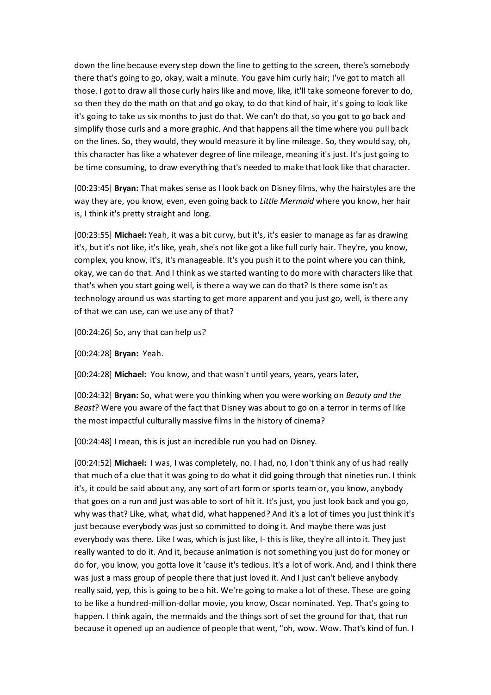down the line because every step down the line to getting to the screen, there's somebody there that's going to go, okay, wait a minute. You gave him curly hair; I've got to match all those. I got to draw all those curly hairs like and move, like, it'll take someone forever to do, so then they do the math on that and go okay, to do that kind of hair, it's going to look like it's going to take us six months to just do that. We can't do that, so you got to go back and simplify those curls and a more graphic. And that happens all the time where you pull back on the lines. So, they would, they would measure it by line mileage. So, they would say, oh, this character has like a whatever degree of line mileage, meaning it's just. It's just going to be time consuming, to draw everything that's needed to make that look like that character.

[00:23:45] **Bryan:** That makes sense as I look back on Disney films, why the hairstyles are the way they are, you know, even, even going back to *Little Mermaid* where you know, her hair is, I think it's pretty straight and long.

[00:23:55] **Michael:** Yeah, it was a bit curvy, but it's, it's easier to manage as far as drawing it's, but it's not like, it's like, yeah, she's not like got a like full curly hair. They're, you know, complex, you know, it's, it's manageable. It's you push it to the point where you can think, okay, we can do that. And I think as we started wanting to do more with characters like that that's when you start going well, is there a way we can do that? Is there some isn't as technology around us was starting to get more apparent and you just go, well, is there any of that we can use, can we use any of that?

[00:24:26] So, any that can help us?

[00:24:28] **Bryan:** Yeah.

[00:24:28] **Michael:** You know, and that wasn't until years, years, years later,

[00:24:32] **Bryan:** So, what were you thinking when you were working on *Beauty and the Beast*? Were you aware of the fact that Disney was about to go on a terror in terms of like the most impactful culturally massive films in the history of cinema?

[00:24:48] I mean, this is just an incredible run you had on Disney.

[00:24:52] **Michael:** I was, I was completely, no. I had, no, I don't think any of us had really that much of a clue that it was going to do what it did going through that nineties run. I think it's, it could be said about any, any sort of art form or sports team or, you know, anybody that goes on a run and just was able to sort of hit it. It's just, you just look back and you go, why was that? Like, what, what did, what happened? And it's a lot of times you just think it's just because everybody was just so committed to doing it. And maybe there was just everybody was there. Like I was, which is just like, I- this is like, they're all into it. They just really wanted to do it. And it, because animation is not something you just do for money or do for, you know, you gotta love it 'cause it's tedious. It's a lot of work. And, and I think there was just a mass group of people there that just loved it. And I just can't believe anybody really said, yep, this is going to be a hit. We're going to make a lot of these. These are going to be like a hundred-million-dollar movie, you know, Oscar nominated. Yep. That's going to happen. I think again, the mermaids and the things sort of set the ground for that, that run because it opened up an audience of people that went, "oh, wow. Wow. That's kind of fun. I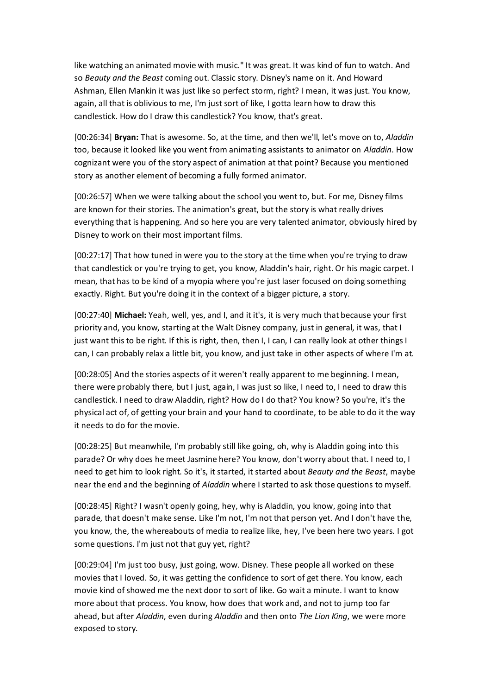like watching an animated movie with music." It was great. It was kind of fun to watch. And so *Beauty and the Beast* coming out. Classic story. Disney's name on it. And Howard Ashman, Ellen Mankin it was just like so perfect storm, right? I mean, it was just. You know, again, all that is oblivious to me, I'm just sort of like, I gotta learn how to draw this candlestick. How do I draw this candlestick? You know, that's great.

[00:26:34] **Bryan:** That is awesome. So, at the time, and then we'll, let's move on to, *Aladdin* too, because it looked like you went from animating assistants to animator on *Aladdin*. How cognizant were you of the story aspect of animation at that point? Because you mentioned story as another element of becoming a fully formed animator.

[00:26:57] When we were talking about the school you went to, but. For me, Disney films are known for their stories. The animation's great, but the story is what really drives everything that is happening. And so here you are very talented animator, obviously hired by Disney to work on their most important films.

[00:27:17] That how tuned in were you to the story at the time when you're trying to draw that candlestick or you're trying to get, you know, Aladdin's hair, right. Or his magic carpet. I mean, that has to be kind of a myopia where you're just laser focused on doing something exactly. Right. But you're doing it in the context of a bigger picture, a story.

[00:27:40] **Michael:** Yeah, well, yes, and I, and it it's, it is very much that because your first priority and, you know, starting at the Walt Disney company, just in general, it was, that I just want this to be right. If this is right, then, then I, I can, I can really look at other things I can, I can probably relax a little bit, you know, and just take in other aspects of where I'm at.

[00:28:05] And the stories aspects of it weren't really apparent to me beginning. I mean, there were probably there, but I just, again, I was just so like, I need to, I need to draw this candlestick. I need to draw Aladdin, right? How do I do that? You know? So you're, it's the physical act of, of getting your brain and your hand to coordinate, to be able to do it the way it needs to do for the movie.

[00:28:25] But meanwhile, I'm probably still like going, oh, why is Aladdin going into this parade? Or why does he meet Jasmine here? You know, don't worry about that. I need to, I need to get him to look right. So it's, it started, it started about *Beauty and the Beast*, maybe near the end and the beginning of *Aladdin* where I started to ask those questions to myself.

[00:28:45] Right? I wasn't openly going, hey, why is Aladdin, you know, going into that parade, that doesn't make sense. Like I'm not, I'm not that person yet. And I don't have the, you know, the, the whereabouts of media to realize like, hey, I've been here two years. I got some questions. I'm just not that guy yet, right?

[00:29:04] I'm just too busy, just going, wow. Disney. These people all worked on these movies that I loved. So, it was getting the confidence to sort of get there. You know, each movie kind of showed me the next door to sort of like. Go wait a minute. I want to know more about that process. You know, how does that work and, and not to jump too far ahead, but after *Aladdin*, even during *Aladdin* and then onto *The Lion King*, we were more exposed to story.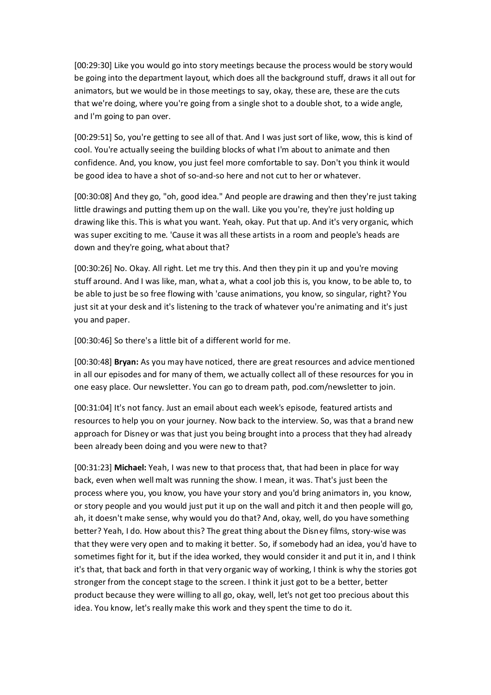[00:29:30] Like you would go into story meetings because the process would be story would be going into the department layout, which does all the background stuff, draws it all out for animators, but we would be in those meetings to say, okay, these are, these are the cuts that we're doing, where you're going from a single shot to a double shot, to a wide angle, and I'm going to pan over.

[00:29:51] So, you're getting to see all of that. And I was just sort of like, wow, this is kind of cool. You're actually seeing the building blocks of what I'm about to animate and then confidence. And, you know, you just feel more comfortable to say. Don't you think it would be good idea to have a shot of so-and-so here and not cut to her or whatever.

[00:30:08] And they go, "oh, good idea." And people are drawing and then they're just taking little drawings and putting them up on the wall. Like you you're, they're just holding up drawing like this. This is what you want. Yeah, okay. Put that up. And it's very organic, which was super exciting to me. 'Cause it was all these artists in a room and people's heads are down and they're going, what about that?

[00:30:26] No. Okay. All right. Let me try this. And then they pin it up and you're moving stuff around. And I was like, man, what a, what a cool job this is, you know, to be able to, to be able to just be so free flowing with 'cause animations, you know, so singular, right? You just sit at your desk and it's listening to the track of whatever you're animating and it's just you and paper.

[00:30:46] So there's a little bit of a different world for me.

[00:30:48] **Bryan:** As you may have noticed, there are great resources and advice mentioned in all our episodes and for many of them, we actually collect all of these resources for you in one easy place. Our newsletter. You can go to dream path, pod.com/newsletter to join.

[00:31:04] It's not fancy. Just an email about each week's episode, featured artists and resources to help you on your journey. Now back to the interview. So, was that a brand new approach for Disney or was that just you being brought into a process that they had already been already been doing and you were new to that?

[00:31:23] **Michael:** Yeah, I was new to that process that, that had been in place for way back, even when well malt was running the show. I mean, it was. That's just been the process where you, you know, you have your story and you'd bring animators in, you know, or story people and you would just put it up on the wall and pitch it and then people will go, ah, it doesn't make sense, why would you do that? And, okay, well, do you have something better? Yeah, I do. How about this? The great thing about the Disney films, story-wise was that they were very open and to making it better. So, if somebody had an idea, you'd have to sometimes fight for it, but if the idea worked, they would consider it and put it in, and I think it's that, that back and forth in that very organic way of working, I think is why the stories got stronger from the concept stage to the screen. I think it just got to be a better, better product because they were willing to all go, okay, well, let's not get too precious about this idea. You know, let's really make this work and they spent the time to do it.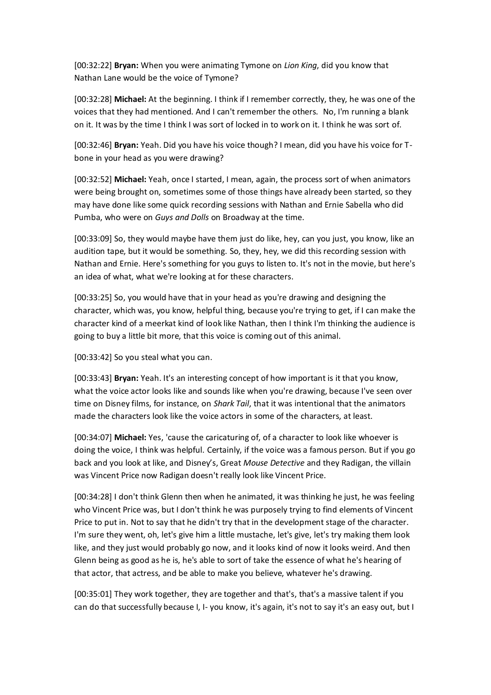[00:32:22] **Bryan:** When you were animating Tymone on *Lion King*, did you know that Nathan Lane would be the voice of Tymone?

[00:32:28] **Michael:** At the beginning. I think if I remember correctly, they, he was one of the voices that they had mentioned. And I can't remember the others. No, I'm running a blank on it. It was by the time I think I was sort of locked in to work on it. I think he was sort of.

[00:32:46] **Bryan:** Yeah. Did you have his voice though? I mean, did you have his voice for Tbone in your head as you were drawing?

[00:32:52] **Michael:** Yeah, once I started, I mean, again, the process sort of when animators were being brought on, sometimes some of those things have already been started, so they may have done like some quick recording sessions with Nathan and Ernie Sabella who did Pumba, who were on *Guys and Dolls* on Broadway at the time.

[00:33:09] So, they would maybe have them just do like, hey, can you just, you know, like an audition tape, but it would be something. So, they, hey, we did this recording session with Nathan and Ernie. Here's something for you guys to listen to. It's not in the movie, but here's an idea of what, what we're looking at for these characters.

[00:33:25] So, you would have that in your head as you're drawing and designing the character, which was, you know, helpful thing, because you're trying to get, if I can make the character kind of a meerkat kind of look like Nathan, then I think I'm thinking the audience is going to buy a little bit more, that this voice is coming out of this animal.

[00:33:42] So you steal what you can.

[00:33:43] **Bryan:** Yeah. It's an interesting concept of how important is it that you know, what the voice actor looks like and sounds like when you're drawing, because I've seen over time on Disney films, for instance, on *Shark Tail*, that it was intentional that the animators made the characters look like the voice actors in some of the characters, at least.

[00:34:07] **Michael:** Yes, 'cause the caricaturing of, of a character to look like whoever is doing the voice, I think was helpful. Certainly, if the voice was a famous person. But if you go back and you look at like, and Disney's, Great *Mouse Detective* and they Radigan, the villain was Vincent Price now Radigan doesn't really look like Vincent Price.

[00:34:28] I don't think Glenn then when he animated, it was thinking he just, he was feeling who Vincent Price was, but I don't think he was purposely trying to find elements of Vincent Price to put in. Not to say that he didn't try that in the development stage of the character. I'm sure they went, oh, let's give him a little mustache, let's give, let's try making them look like, and they just would probably go now, and it looks kind of now it looks weird. And then Glenn being as good as he is, he's able to sort of take the essence of what he's hearing of that actor, that actress, and be able to make you believe, whatever he's drawing.

[00:35:01] They work together, they are together and that's, that's a massive talent if you can do that successfully because I, I- you know, it's again, it's not to say it's an easy out, but I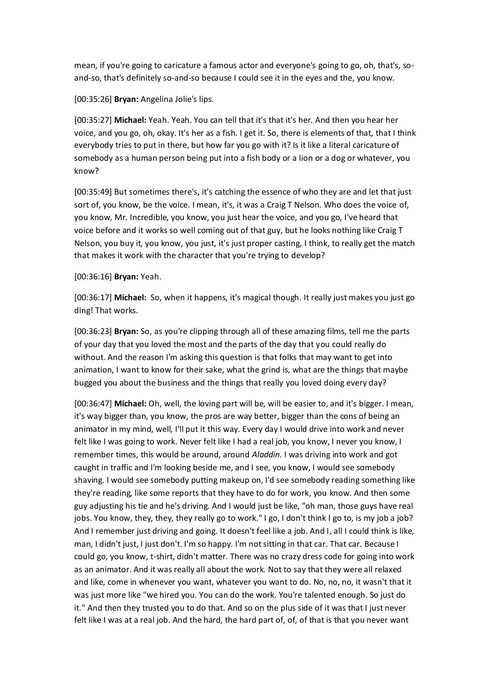mean, if you're going to caricature a famous actor and everyone's going to go, oh, that's, soand-so, that's definitely so-and-so because I could see it in the eyes and the, you know.

[00:35:26] **Bryan:** Angelina Jolie's lips.

[00:35:27] **Michael:** Yeah. Yeah. You can tell that it's that it's her. And then you hear her voice, and you go, oh, okay. It's her as a fish. I get it. So, there is elements of that, that I think everybody tries to put in there, but how far you go with it? Is it like a literal caricature of somebody as a human person being put into a fish body or a lion or a dog or whatever, you know?

[00:35:49] But sometimes there's, it's catching the essence of who they are and let that just sort of, you know, be the voice. I mean, it's, it was a Craig T Nelson. Who does the voice of, you know, Mr. Incredible, you know, you just hear the voice, and you go, I've heard that voice before and it works so well coming out of that guy, but he looks nothing like Craig T Nelson, you buy it, you know, you just, it's just proper casting, I think, to really get the match that makes it work with the character that you're trying to develop?

#### [00:36:16] **Bryan:** Yeah.

[00:36:17] **Michael:** So, when it happens, it's magical though. It really just makes you just go ding! That works.

[00:36:23] **Bryan:** So, as you're clipping through all of these amazing films, tell me the parts of your day that you loved the most and the parts of the day that you could really do without. And the reason I'm asking this question is that folks that may want to get into animation, I want to know for their sake, what the grind is, what are the things that maybe bugged you about the business and the things that really you loved doing every day?

[00:36:47] **Michael:** Oh, well, the loving part will be, will be easier to, and it's bigger. I mean, it's way bigger than, you know, the pros are way better, bigger than the cons of being an animator in my mind, well, I'll put it this way. Every day I would drive into work and never felt like I was going to work. Never felt like I had a real job, you know, I never you know, I remember times, this would be around, around *Aladdin*. I was driving into work and got caught in traffic and I'm looking beside me, and I see, you know, I would see somebody shaving. I would see somebody putting makeup on, I'd see somebody reading something like they're reading, like some reports that they have to do for work, you know. And then some guy adjusting his tie and he's driving. And I would just be like, "oh man, those guys have real jobs. You know, they, they, they really go to work." I go, I don't think I go to, is my job a job? And I remember just driving and going. It doesn't feel like a job. And I, all I could think is like, man, I didn't just, I just don't. I'm so happy. I'm not sitting in that car. That car. Because I could go, you know, t-shirt, didn't matter. There was no crazy dress code for going into work as an animator. And it was really all about the work. Not to say that they were all relaxed and like, come in whenever you want, whatever you want to do. No, no, no, it wasn't that it was just more like "we hired you. You can do the work. You're talented enough. So just do it." And then they trusted you to do that. And so on the plus side of it was that I just never felt like I was at a real job. And the hard, the hard part of, of, of that is that you never want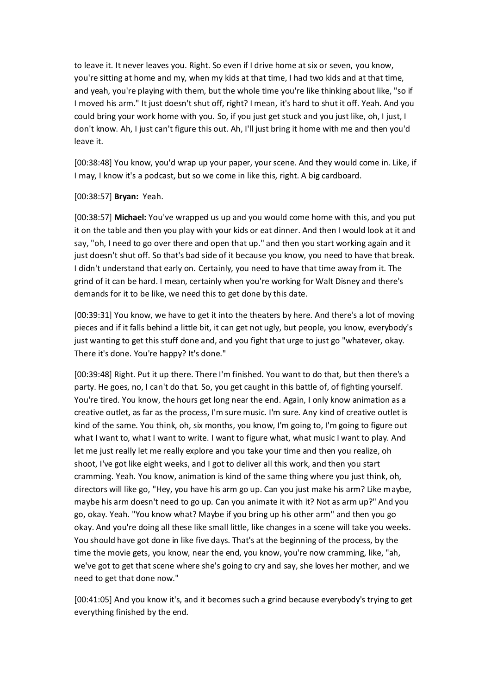to leave it. It never leaves you. Right. So even if I drive home at six or seven, you know, you're sitting at home and my, when my kids at that time, I had two kids and at that time, and yeah, you're playing with them, but the whole time you're like thinking about like, "so if I moved his arm." It just doesn't shut off, right? I mean, it's hard to shut it off. Yeah. And you could bring your work home with you. So, if you just get stuck and you just like, oh, I just, I don't know. Ah, I just can't figure this out. Ah, I'll just bring it home with me and then you'd leave it.

[00:38:48] You know, you'd wrap up your paper, your scene. And they would come in. Like, if I may, I know it's a podcast, but so we come in like this, right. A big cardboard.

### [00:38:57] **Bryan:** Yeah.

[00:38:57] **Michael:** You've wrapped us up and you would come home with this, and you put it on the table and then you play with your kids or eat dinner. And then I would look at it and say, "oh, I need to go over there and open that up." and then you start working again and it just doesn't shut off. So that's bad side of it because you know, you need to have that break. I didn't understand that early on. Certainly, you need to have that time away from it. The grind of it can be hard. I mean, certainly when you're working for Walt Disney and there's demands for it to be like, we need this to get done by this date.

[00:39:31] You know, we have to get it into the theaters by here. And there's a lot of moving pieces and if it falls behind a little bit, it can get not ugly, but people, you know, everybody's just wanting to get this stuff done and, and you fight that urge to just go "whatever, okay. There it's done. You're happy? It's done."

[00:39:48] Right. Put it up there. There I'm finished. You want to do that, but then there's a party. He goes, no, I can't do that. So, you get caught in this battle of, of fighting yourself. You're tired. You know, the hours get long near the end. Again, I only know animation as a creative outlet, as far as the process, I'm sure music. I'm sure. Any kind of creative outlet is kind of the same. You think, oh, six months, you know, I'm going to, I'm going to figure out what I want to, what I want to write. I want to figure what, what music I want to play. And let me just really let me really explore and you take your time and then you realize, oh shoot, I've got like eight weeks, and I got to deliver all this work, and then you start cramming. Yeah. You know, animation is kind of the same thing where you just think, oh, directors will like go, "Hey, you have his arm go up. Can you just make his arm? Like maybe, maybe his arm doesn't need to go up. Can you animate it with it? Not as arm up?" And you go, okay. Yeah. "You know what? Maybe if you bring up his other arm" and then you go okay. And you're doing all these like small little, like changes in a scene will take you weeks. You should have got done in like five days. That's at the beginning of the process, by the time the movie gets, you know, near the end, you know, you're now cramming, like, "ah, we've got to get that scene where she's going to cry and say, she loves her mother, and we need to get that done now."

[00:41:05] And you know it's, and it becomes such a grind because everybody's trying to get everything finished by the end.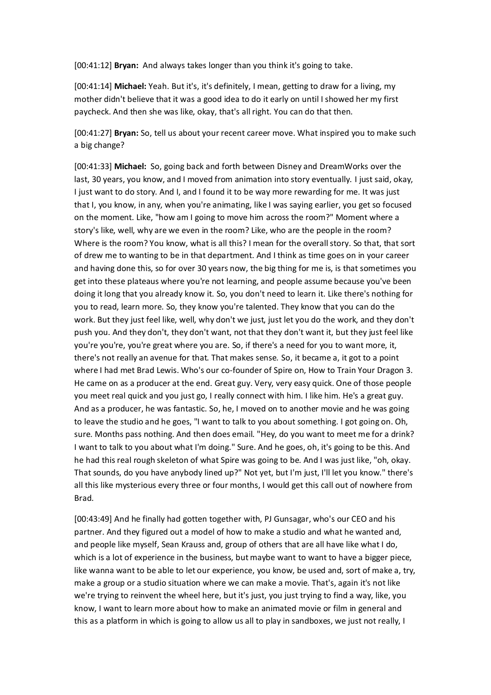[00:41:12] **Bryan:** And always takes longer than you think it's going to take.

[00:41:14] **Michael:** Yeah. But it's, it's definitely, I mean, getting to draw for a living, my mother didn't believe that it was a good idea to do it early on until I showed her my first paycheck. And then she was like, okay, that's all right. You can do that then.

[00:41:27] **Bryan:** So, tell us about your recent career move. What inspired you to make such a big change?

[00:41:33] **Michael:** So, going back and forth between Disney and DreamWorks over the last, 30 years, you know, and I moved from animation into story eventually. I just said, okay, I just want to do story. And I, and I found it to be way more rewarding for me. It was just that I, you know, in any, when you're animating, like I was saying earlier, you get so focused on the moment. Like, "how am I going to move him across the room?" Moment where a story's like, well, why are we even in the room? Like, who are the people in the room? Where is the room? You know, what is all this? I mean for the overall story. So that, that sort of drew me to wanting to be in that department. And I think as time goes on in your career and having done this, so for over 30 years now, the big thing for me is, is that sometimes you get into these plateaus where you're not learning, and people assume because you've been doing it long that you already know it. So, you don't need to learn it. Like there's nothing for you to read, learn more. So, they know you're talented. They know that you can do the work. But they just feel like, well, why don't we just, just let you do the work, and they don't push you. And they don't, they don't want, not that they don't want it, but they just feel like you're you're, you're great where you are. So, if there's a need for you to want more, it, there's not really an avenue for that. That makes sense. So, it became a, it got to a point where I had met Brad Lewis. Who's our co-founder of Spire on, How to Train Your Dragon 3. He came on as a producer at the end. Great guy. Very, very easy quick. One of those people you meet real quick and you just go, I really connect with him. I like him. He's a great guy. And as a producer, he was fantastic. So, he, I moved on to another movie and he was going to leave the studio and he goes, "I want to talk to you about something. I got going on. Oh, sure. Months pass nothing. And then does email. "Hey, do you want to meet me for a drink? I want to talk to you about what I'm doing." Sure. And he goes, oh, it's going to be this. And he had this real rough skeleton of what Spire was going to be. And I was just like, "oh, okay. That sounds, do you have anybody lined up?" Not yet, but I'm just, I'll let you know." there's all this like mysterious every three or four months, I would get this call out of nowhere from Brad.

[00:43:49] And he finally had gotten together with, PJ Gunsagar, who's our CEO and his partner. And they figured out a model of how to make a studio and what he wanted and, and people like myself, Sean Krauss and, group of others that are all have like what I do, which is a lot of experience in the business, but maybe want to want to have a bigger piece, like wanna want to be able to let our experience, you know, be used and, sort of make a, try, make a group or a studio situation where we can make a movie. That's, again it's not like we're trying to reinvent the wheel here, but it's just, you just trying to find a way, like, you know, I want to learn more about how to make an animated movie or film in general and this as a platform in which is going to allow us all to play in sandboxes, we just not really, I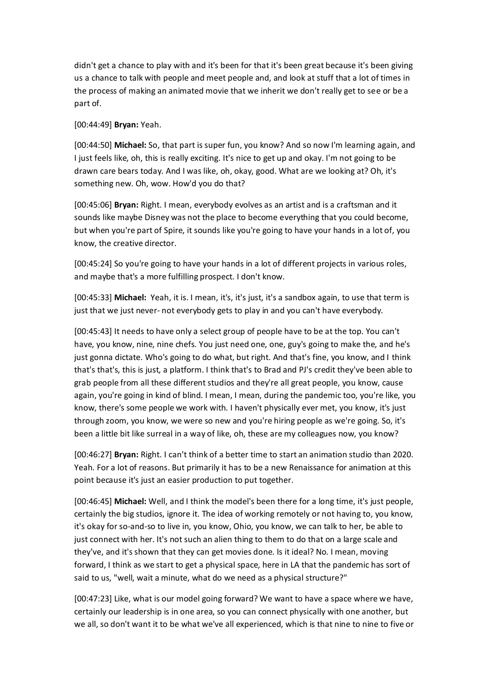didn't get a chance to play with and it's been for that it's been great because it's been giving us a chance to talk with people and meet people and, and look at stuff that a lot of times in the process of making an animated movie that we inherit we don't really get to see or be a part of.

### [00:44:49] **Bryan:** Yeah.

[00:44:50] **Michael:** So, that part is super fun, you know? And so now I'm learning again, and I just feels like, oh, this is really exciting. It's nice to get up and okay. I'm not going to be drawn care bears today. And I was like, oh, okay, good. What are we looking at? Oh, it's something new. Oh, wow. How'd you do that?

[00:45:06] **Bryan:** Right. I mean, everybody evolves as an artist and is a craftsman and it sounds like maybe Disney was not the place to become everything that you could become, but when you're part of Spire, it sounds like you're going to have your hands in a lot of, you know, the creative director.

[00:45:24] So you're going to have your hands in a lot of different projects in various roles, and maybe that's a more fulfilling prospect. I don't know.

[00:45:33] **Michael:** Yeah, it is. I mean, it's, it's just, it's a sandbox again, to use that term is just that we just never- not everybody gets to play in and you can't have everybody.

[00:45:43] It needs to have only a select group of people have to be at the top. You can't have, you know, nine, nine chefs. You just need one, one, guy's going to make the, and he's just gonna dictate. Who's going to do what, but right. And that's fine, you know, and I think that's that's, this is just, a platform. I think that's to Brad and PJ's credit they've been able to grab people from all these different studios and they're all great people, you know, cause again, you're going in kind of blind. I mean, I mean, during the pandemic too, you're like, you know, there's some people we work with. I haven't physically ever met, you know, it's just through zoom, you know, we were so new and you're hiring people as we're going. So, it's been a little bit like surreal in a way of like, oh, these are my colleagues now, you know?

[00:46:27] **Bryan:** Right. I can't think of a better time to start an animation studio than 2020. Yeah. For a lot of reasons. But primarily it has to be a new Renaissance for animation at this point because it's just an easier production to put together.

[00:46:45] **Michael:** Well, and I think the model's been there for a long time, it's just people, certainly the big studios, ignore it. The idea of working remotely or not having to, you know, it's okay for so-and-so to live in, you know, Ohio, you know, we can talk to her, be able to just connect with her. It's not such an alien thing to them to do that on a large scale and they've, and it's shown that they can get movies done. Is it ideal? No. I mean, moving forward, I think as we start to get a physical space, here in LA that the pandemic has sort of said to us, "well, wait a minute, what do we need as a physical structure?"

[00:47:23] Like, what is our model going forward? We want to have a space where we have, certainly our leadership is in one area, so you can connect physically with one another, but we all, so don't want it to be what we've all experienced, which is that nine to nine to five or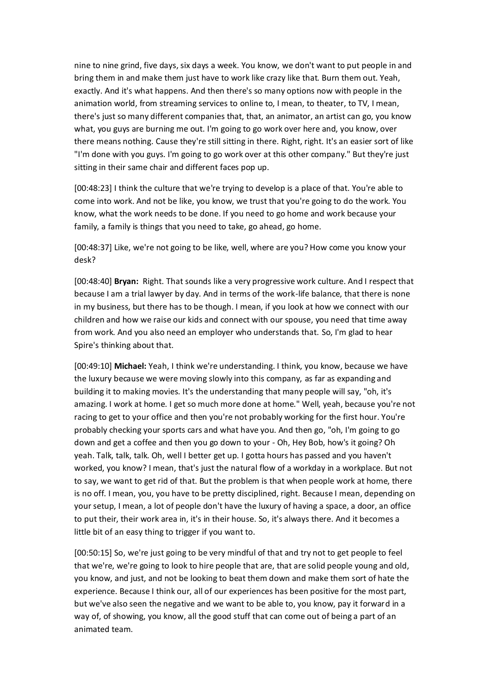nine to nine grind, five days, six days a week. You know, we don't want to put people in and bring them in and make them just have to work like crazy like that. Burn them out. Yeah, exactly. And it's what happens. And then there's so many options now with people in the animation world, from streaming services to online to, I mean, to theater, to TV, I mean, there's just so many different companies that, that, an animator, an artist can go, you know what, you guys are burning me out. I'm going to go work over here and, you know, over there means nothing. Cause they're still sitting in there. Right, right. It's an easier sort of like "I'm done with you guys. I'm going to go work over at this other company." But they're just sitting in their same chair and different faces pop up.

[00:48:23] I think the culture that we're trying to develop is a place of that. You're able to come into work. And not be like, you know, we trust that you're going to do the work. You know, what the work needs to be done. If you need to go home and work because your family, a family is things that you need to take, go ahead, go home.

[00:48:37] Like, we're not going to be like, well, where are you? How come you know your desk?

[00:48:40] **Bryan:** Right. That sounds like a very progressive work culture. And I respect that because I am a trial lawyer by day. And in terms of the work-life balance, that there is none in my business, but there has to be though. I mean, if you look at how we connect with our children and how we raise our kids and connect with our spouse, you need that time away from work. And you also need an employer who understands that. So, I'm glad to hear Spire's thinking about that.

[00:49:10] **Michael:** Yeah, I think we're understanding. I think, you know, because we have the luxury because we were moving slowly into this company, as far as expanding and building it to making movies. It's the understanding that many people will say, "oh, it's amazing. I work at home. I get so much more done at home." Well, yeah, because you're not racing to get to your office and then you're not probably working for the first hour. You're probably checking your sports cars and what have you. And then go, "oh, I'm going to go down and get a coffee and then you go down to your - Oh, Hey Bob, how's it going? Oh yeah. Talk, talk, talk. Oh, well I better get up. I gotta hours has passed and you haven't worked, you know? I mean, that's just the natural flow of a workday in a workplace. But not to say, we want to get rid of that. But the problem is that when people work at home, there is no off. I mean, you, you have to be pretty disciplined, right. Because I mean, depending on your setup, I mean, a lot of people don't have the luxury of having a space, a door, an office to put their, their work area in, it's in their house. So, it's always there. And it becomes a little bit of an easy thing to trigger if you want to.

[00:50:15] So, we're just going to be very mindful of that and try not to get people to feel that we're, we're going to look to hire people that are, that are solid people young and old, you know, and just, and not be looking to beat them down and make them sort of hate the experience. Because I think our, all of our experiences has been positive for the most part, but we've also seen the negative and we want to be able to, you know, pay it forward in a way of, of showing, you know, all the good stuff that can come out of being a part of an animated team.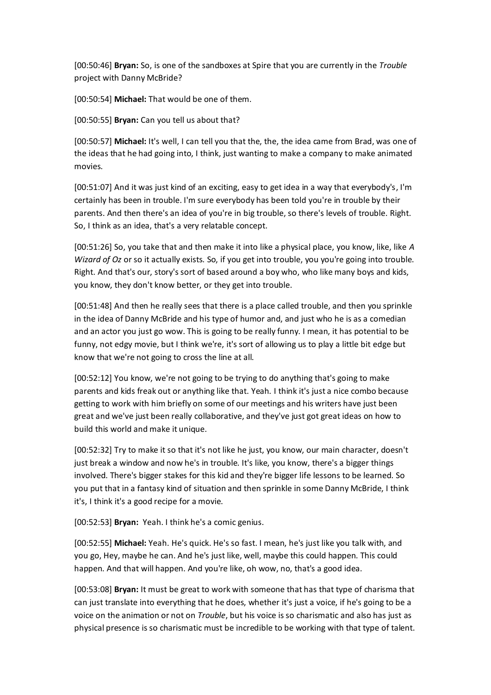[00:50:46] **Bryan:** So, is one of the sandboxes at Spire that you are currently in the *Trouble* project with Danny McBride?

[00:50:54] **Michael:** That would be one of them.

[00:50:55] **Bryan:** Can you tell us about that?

[00:50:57] **Michael:** It's well, I can tell you that the, the, the idea came from Brad, was one of the ideas that he had going into, I think, just wanting to make a company to make animated movies.

[00:51:07] And it was just kind of an exciting, easy to get idea in a way that everybody's, I'm certainly has been in trouble. I'm sure everybody has been told you're in trouble by their parents. And then there's an idea of you're in big trouble, so there's levels of trouble. Right. So, I think as an idea, that's a very relatable concept.

[00:51:26] So, you take that and then make it into like a physical place, you know, like, like *A Wizard of Oz* or so it actually exists. So, if you get into trouble, you you're going into trouble. Right. And that's our, story's sort of based around a boy who, who like many boys and kids, you know, they don't know better, or they get into trouble.

[00:51:48] And then he really sees that there is a place called trouble, and then you sprinkle in the idea of Danny McBride and his type of humor and, and just who he is as a comedian and an actor you just go wow. This is going to be really funny. I mean, it has potential to be funny, not edgy movie, but I think we're, it's sort of allowing us to play a little bit edge but know that we're not going to cross the line at all.

[00:52:12] You know, we're not going to be trying to do anything that's going to make parents and kids freak out or anything like that. Yeah. I think it's just a nice combo because getting to work with him briefly on some of our meetings and his writers have just been great and we've just been really collaborative, and they've just got great ideas on how to build this world and make it unique.

[00:52:32] Try to make it so that it's not like he just, you know, our main character, doesn't just break a window and now he's in trouble. It's like, you know, there's a bigger things involved. There's bigger stakes for this kid and they're bigger life lessons to be learned. So you put that in a fantasy kind of situation and then sprinkle in some Danny McBride, I think it's, I think it's a good recipe for a movie.

[00:52:53] **Bryan:** Yeah. I think he's a comic genius.

[00:52:55] **Michael:** Yeah. He's quick. He's so fast. I mean, he's just like you talk with, and you go, Hey, maybe he can. And he's just like, well, maybe this could happen. This could happen. And that will happen. And you're like, oh wow, no, that's a good idea.

[00:53:08] **Bryan:** It must be great to work with someone that has that type of charisma that can just translate into everything that he does, whether it's just a voice, if he's going to be a voice on the animation or not on *Trouble*, but his voice is so charismatic and also has just as physical presence is so charismatic must be incredible to be working with that type of talent.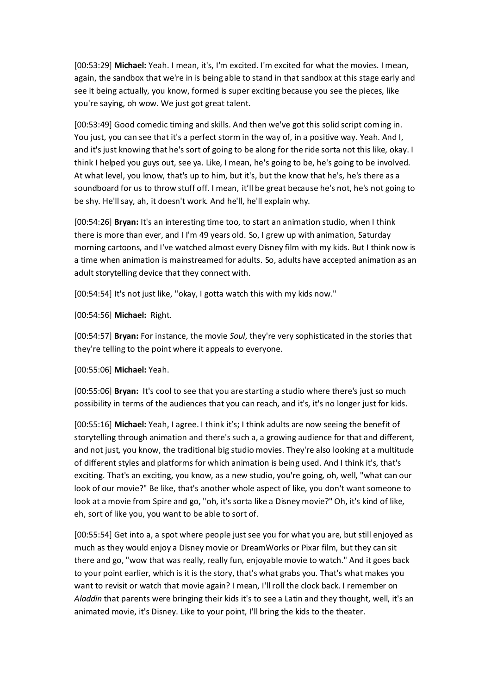[00:53:29] **Michael:** Yeah. I mean, it's, I'm excited. I'm excited for what the movies. I mean, again, the sandbox that we're in is being able to stand in that sandbox at this stage early and see it being actually, you know, formed is super exciting because you see the pieces, like you're saying, oh wow. We just got great talent.

[00:53:49] Good comedic timing and skills. And then we've got this solid script coming in. You just, you can see that it's a perfect storm in the way of, in a positive way. Yeah. And I, and it's just knowing that he's sort of going to be along for the ride sorta not this like, okay. I think I helped you guys out, see ya. Like, I mean, he's going to be, he's going to be involved. At what level, you know, that's up to him, but it's, but the know that he's, he's there as a soundboard for us to throw stuff off. I mean, it'll be great because he's not, he's not going to be shy. He'll say, ah, it doesn't work. And he'll, he'll explain why.

[00:54:26] **Bryan:** It's an interesting time too, to start an animation studio, when I think there is more than ever, and I I'm 49 years old. So, I grew up with animation, Saturday morning cartoons, and I've watched almost every Disney film with my kids. But I think now is a time when animation is mainstreamed for adults. So, adults have accepted animation as an adult storytelling device that they connect with.

[00:54:54] It's not just like, "okay, I gotta watch this with my kids now."

[00:54:56] **Michael:** Right.

[00:54:57] **Bryan:** For instance, the movie *Soul*, they're very sophisticated in the stories that they're telling to the point where it appeals to everyone.

[00:55:06] **Michael:** Yeah.

[00:55:06] **Bryan:** It's cool to see that you are starting a studio where there's just so much possibility in terms of the audiences that you can reach, and it's, it's no longer just for kids.

[00:55:16] **Michael:** Yeah, I agree. I think it's; I think adults are now seeing the benefit of storytelling through animation and there's such a, a growing audience for that and different, and not just, you know, the traditional big studio movies. They're also looking at a multitude of different styles and platforms for which animation is being used. And I think it's, that's exciting. That's an exciting, you know, as a new studio, you're going, oh, well, "what can our look of our movie?" Be like, that's another whole aspect of like, you don't want someone to look at a movie from Spire and go, "oh, it's sorta like a Disney movie?" Oh, it's kind of like, eh, sort of like you, you want to be able to sort of.

[00:55:54] Get into a, a spot where people just see you for what you are, but still enjoyed as much as they would enjoy a Disney movie or DreamWorks or Pixar film, but they can sit there and go, "wow that was really, really fun, enjoyable movie to watch." And it goes back to your point earlier, which is it is the story, that's what grabs you. That's what makes you want to revisit or watch that movie again? I mean, I'll roll the clock back. I remember on *Aladdin* that parents were bringing their kids it's to see a Latin and they thought, well, it's an animated movie, it's Disney. Like to your point, I'll bring the kids to the theater.